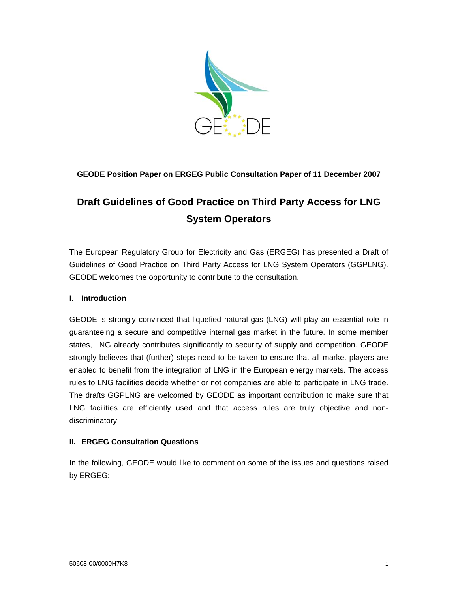

# **GEODE Position Paper on ERGEG Public Consultation Paper of 11 December 2007**

# **Draft Guidelines of Good Practice on Third Party Access for LNG System Operators**

The European Regulatory Group for Electricity and Gas (ERGEG) has presented a Draft of Guidelines of Good Practice on Third Party Access for LNG System Operators (GGPLNG). GEODE welcomes the opportunity to contribute to the consultation.

### **I. Introduction**

GEODE is strongly convinced that liquefied natural gas (LNG) will play an essential role in guaranteeing a secure and competitive internal gas market in the future. In some member states, LNG already contributes significantly to security of supply and competition. GEODE strongly believes that (further) steps need to be taken to ensure that all market players are enabled to benefit from the integration of LNG in the European energy markets. The access rules to LNG facilities decide whether or not companies are able to participate in LNG trade. The drafts GGPLNG are welcomed by GEODE as important contribution to make sure that LNG facilities are efficiently used and that access rules are truly objective and nondiscriminatory.

#### **II. ERGEG Consultation Questions**

In the following, GEODE would like to comment on some of the issues and questions raised by ERGEG: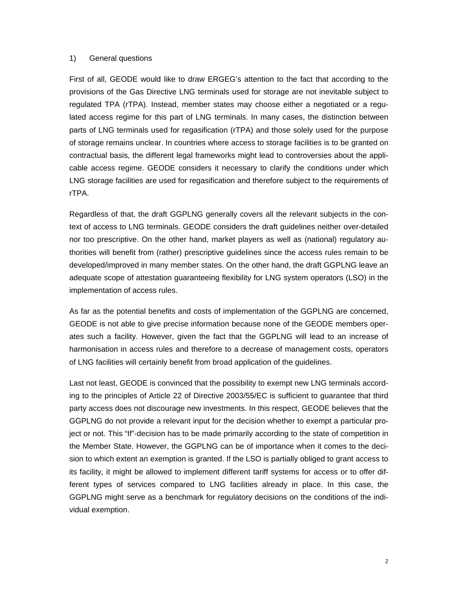#### 1) General questions

First of all, GEODE would like to draw ERGEG's attention to the fact that according to the provisions of the Gas Directive LNG terminals used for storage are not inevitable subject to regulated TPA (rTPA). Instead, member states may choose either a negotiated or a regulated access regime for this part of LNG terminals. In many cases, the distinction between parts of LNG terminals used for regasification (rTPA) and those solely used for the purpose of storage remains unclear. In countries where access to storage facilities is to be granted on contractual basis, the different legal frameworks might lead to controversies about the applicable access regime. GEODE considers it necessary to clarify the conditions under which LNG storage facilities are used for regasification and therefore subject to the requirements of rTPA.

Regardless of that, the draft GGPLNG generally covers all the relevant subjects in the context of access to LNG terminals. GEODE considers the draft guidelines neither over-detailed nor too prescriptive. On the other hand, market players as well as (national) regulatory authorities will benefit from (rather) prescriptive guidelines since the access rules remain to be developed/improved in many member states. On the other hand, the draft GGPLNG leave an adequate scope of attestation guaranteeing flexibility for LNG system operators (LSO) in the implementation of access rules.

As far as the potential benefits and costs of implementation of the GGPLNG are concerned, GEODE is not able to give precise information because none of the GEODE members operates such a facility. However, given the fact that the GGPLNG will lead to an increase of harmonisation in access rules and therefore to a decrease of management costs, operators of LNG facilities will certainly benefit from broad application of the guidelines.

Last not least, GEODE is convinced that the possibility to exempt new LNG terminals according to the principles of Article 22 of Directive 2003/55/EC is sufficient to guarantee that third party access does not discourage new investments. In this respect, GEODE believes that the GGPLNG do not provide a relevant input for the decision whether to exempt a particular project or not. This "If"-decision has to be made primarily according to the state of competition in the Member State. However, the GGPLNG can be of importance when it comes to the decision to which extent an exemption is granted. If the LSO is partially obliged to grant access to its facility, it might be allowed to implement different tariff systems for access or to offer different types of services compared to LNG facilities already in place. In this case, the GGPLNG might serve as a benchmark for regulatory decisions on the conditions of the individual exemption.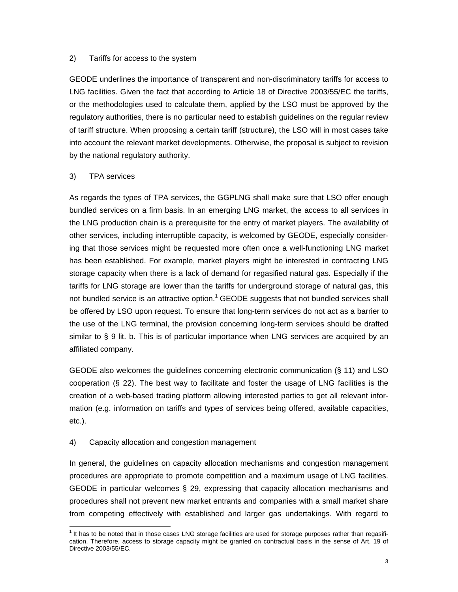#### 2) Tariffs for access to the system

GEODE underlines the importance of transparent and non-discriminatory tariffs for access to LNG facilities. Given the fact that according to Article 18 of Directive 2003/55/EC the tariffs, or the methodologies used to calculate them, applied by the LSO must be approved by the regulatory authorities, there is no particular need to establish guidelines on the regular review of tariff structure. When proposing a certain tariff (structure), the LSO will in most cases take into account the relevant market developments. Otherwise, the proposal is subject to revision by the national regulatory authority.

#### 3) TPA services

As regards the types of TPA services, the GGPLNG shall make sure that LSO offer enough bundled services on a firm basis. In an emerging LNG market, the access to all services in the LNG production chain is a prerequisite for the entry of market players. The availability of other services, including interruptible capacity, is welcomed by GEODE, especially considering that those services might be requested more often once a well-functioning LNG market has been established. For example, market players might be interested in contracting LNG storage capacity when there is a lack of demand for regasified natural gas. Especially if the tariffs for LNG storage are lower than the tariffs for underground storage of natural gas, this not bundled service is an attractive option. $1$  GEODE suggests that not bundled services shall be offered by LSO upon request. To ensure that long-term services do not act as a barrier to the use of the LNG terminal, the provision concerning long-term services should be drafted similar to § 9 lit. b. This is of particular importance when LNG services are acquired by an affiliated company.

GEODE also welcomes the guidelines concerning electronic communication (§ 11) and LSO cooperation (§ 22). The best way to facilitate and foster the usage of LNG facilities is the creation of a web-based trading platform allowing interested parties to get all relevant information (e.g. information on tariffs and types of services being offered, available capacities, etc.).

#### 4) Capacity allocation and congestion management

In general, the guidelines on capacity allocation mechanisms and congestion management procedures are appropriate to promote competition and a maximum usage of LNG facilities. GEODE in particular welcomes § 29, expressing that capacity allocation mechanisms and procedures shall not prevent new market entrants and companies with a small market share from competing effectively with established and larger gas undertakings. With regard to

<sup>1&</sup>lt;br><sup>1</sup> It has to be noted that in those cases LNG storage facilities are used for storage purposes rather than regasification. Therefore, access to storage capacity might be granted on contractual basis in the sense of Art. 19 of Directive 2003/55/EC.